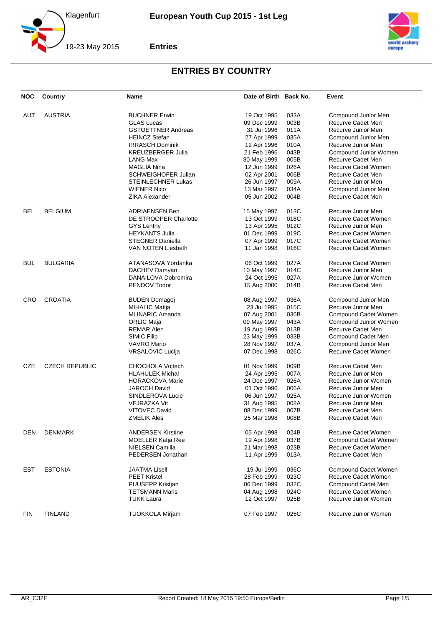



| <b>NOC</b> | Country               | Name                                           | Date of Birth Back No. |              | Event                 |
|------------|-----------------------|------------------------------------------------|------------------------|--------------|-----------------------|
|            |                       |                                                |                        |              |                       |
| AUT        | <b>AUSTRIA</b>        | <b>BUCHNER Erwin</b>                           | 19 Oct 1995            | 033A<br>003B | Compound Junior Men   |
|            |                       | <b>GLAS Lucas</b><br><b>GSTOETTNER Andreas</b> | 09 Dec 1999            |              | Recurve Cadet Men     |
|            |                       |                                                | 31 Jul 1996            | 011A         | Recurve Junior Men    |
|            |                       | <b>HEINCZ Stefan</b>                           | 27 Apr 1999            | 035A         | Compound Junior Men   |
|            |                       | <b>IRRASCH Dominik</b>                         | 12 Apr 1996            | 010A         | Recurve Junior Men    |
|            |                       | <b>KREUZBERGER Julia</b>                       | 21 Feb 1996            | 043B         | Compound Junior Women |
|            |                       | LANG Max                                       | 30 May 1999            | 005B         | Recurve Cadet Men     |
|            |                       | <b>MAGLIA Nina</b>                             | 12 Jun 1999            | 026A         | Recurve Cadet Women   |
|            |                       | <b>SCHWEIGHOFER Julian</b>                     | 02 Apr 2001            | 006B         | Recurve Cadet Men     |
|            |                       | <b>STEINLECHNER Lukas</b>                      | 26 Jun 1997            | 009A         | Recurve Junior Men    |
|            |                       | <b>WIENER Nico</b>                             | 13 Mar 1997            | 034A         | Compound Junior Men   |
|            |                       | <b>ZIKA Alexander</b>                          | 05 Jun 2002            | 004B         | Recurve Cadet Men     |
| <b>BEL</b> | <b>BELGIUM</b>        | <b>ADRIAENSEN Ben</b>                          | 15 May 1997            | 013C         | Recurve Junior Men    |
|            |                       | DE STROOPER Charlotte                          | 13 Oct 1999            | 018C         | Recurve Cadet Women   |
|            |                       | <b>GYS Lenthy</b>                              | 13 Apr 1995            | 012C         | Recurve Junior Men    |
|            |                       | <b>HEYKANTS Julia</b>                          | 01 Dec 1999            | 019C         | Recurve Cadet Women   |
|            |                       | <b>STEGNER Daniella</b>                        | 07 Apr 1999            | 017C         | Recurve Cadet Women   |
|            |                       | VAN NOTEN Liesbeth                             | 11 Jan 1998            | 016C         | Recurve Cadet Women   |
| <b>BUL</b> | <b>BULGARIA</b>       | ATANASOVA Yordanka                             | 06 Oct 1999            | 027A         | Recurve Cadet Women   |
|            |                       | DACHEV Damyan                                  | 10 May 1997            | 014C         | Recurve Junior Men    |
|            |                       | DANAILOVA Dobromira                            | 24 Oct 1995            | 027A         | Recurve Junior Women  |
|            |                       | PENDOV Todor                                   | 15 Aug 2000            | 014B         | Recurve Cadet Men     |
|            |                       |                                                |                        |              |                       |
| <b>CRO</b> | <b>CROATIA</b>        | <b>BUDEN Domagoj</b>                           | 08 Aug 1997            | 036A         | Compound Junior Men   |
|            |                       | <b>MIHALIC Matija</b>                          | 23 Jul 1995            | 015C         | Recurve Junior Men    |
|            |                       | <b>MLINARIC Amanda</b>                         | 07 Aug 2001            | 036B         | Compound Cadet Women  |
|            |                       | ORLIC Maja                                     | 09 May 1997            | 043A         | Compound Junior Women |
|            |                       | <b>REMAR Alen</b>                              | 19 Aug 1999            | 013B         | Recurve Cadet Men     |
|            |                       | <b>SIMIC Filip</b>                             | 23 May 1999            | 033B         | Compound Cadet Men    |
|            |                       | VAVRO Mario                                    | 28 Nov 1997            | 037A         | Compound Junior Men   |
|            |                       | VRSALOVIC Lucija                               | 07 Dec 1998            | 026C         | Recurve Cadet Women   |
| <b>CZE</b> | <b>CZECH REPUBLIC</b> | CHOCHOLA Vojtech                               | 01 Nov 1999            | 009B         | Recurve Cadet Men     |
|            |                       | <b>HLAHULEK Michal</b>                         | 24 Apr 1995            | 007A         | Recurve Junior Men    |
|            |                       | <b>HORACKOVA Marie</b>                         | 24 Dec 1997            | 026A         | Recurve Junior Women  |
|            |                       | <b>JAROCH David</b>                            | 01 Oct 1996            | 006A         | Recurve Junior Men    |
|            |                       | SINDLEROVA Lucie                               | 06 Jun 1997            | 025A         | Recurve Junior Women  |
|            |                       | <b>VEJRAZKA Vit</b>                            | 31 Aug 1995            | 008A         | Recurve Junior Men    |
|            |                       | <b>VITOVEC David</b>                           | 08 Dec 1999            | 007B         | Recurve Cadet Men     |
|            |                       | <b>ZMELIK Ales</b>                             | 25 Mar 1998            | 008B         | Recurve Cadet Men     |
|            |                       |                                                |                        |              |                       |
| <b>DEN</b> | <b>DENMARK</b>        | <b>ANDERSEN Kirstine</b>                       | 05 Apr 1998            | 024B         | Recurve Cadet Women   |
|            |                       | MOELLER Katja Ree                              | 19 Apr 1998            | 037B         | Compound Cadet Women  |
|            |                       | NIELSEN Camilla                                | 21 Mar 1998            | 023B         | Recurve Cadet Women   |
|            |                       | PEDERSEN Jonathan                              | 11 Apr 1999            | 013A         | Recurve Cadet Men     |
| <b>EST</b> | <b>ESTONIA</b>        | <b>JAATMA Lisell</b>                           | 19 Jul 1999            | 036C         | Compound Cadet Women  |
|            |                       | <b>PEET Kristel</b>                            | 28 Feb 1999            | 023C         | Recurve Cadet Women   |
|            |                       | PUUSEPP Kristjan                               | 06 Dec 1999            | 032C         | Compound Cadet Men    |
|            |                       | <b>TETSMANN Maris</b>                          | 04 Aug 1998            | 024C         | Recurve Cadet Women   |
|            |                       | <b>TUKK Laura</b>                              | 12 Oct 1997            | 025B         | Recurve Junior Women  |
| <b>FIN</b> | <b>FINLAND</b>        | <b>TUOKKOLA Mirjam</b>                         | 07 Feb 1997            | 025C         | Recurve Junior Women  |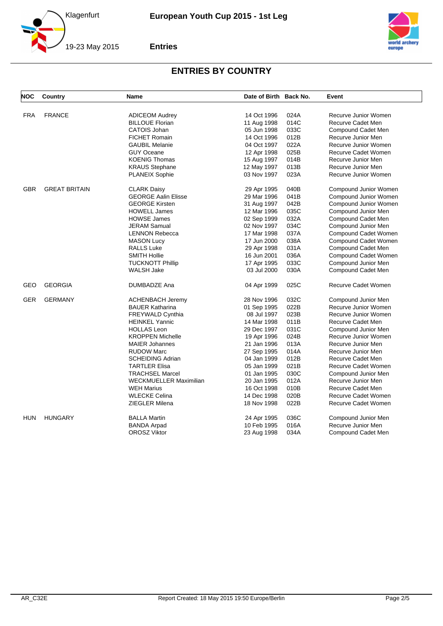



| NOC        | Country              | <b>Name</b>                                     | Date of Birth Back No. |      | Event                 |
|------------|----------------------|-------------------------------------------------|------------------------|------|-----------------------|
| <b>FRA</b> | <b>FRANCE</b>        |                                                 | 14 Oct 1996            | 024A | Recurve Junior Women  |
|            |                      | <b>ADICEOM Audrey</b><br><b>BILLOUE Florian</b> | 11 Aug 1998            | 014C | Recurve Cadet Men     |
|            |                      | CATOIS Johan                                    | 05 Jun 1998            | 033C | Compound Cadet Men    |
|            |                      | <b>FICHET Romain</b>                            | 14 Oct 1996            | 012B | Recurve Junior Men    |
|            |                      |                                                 |                        |      |                       |
|            |                      | <b>GAUBIL Melanie</b>                           | 04 Oct 1997            | 022A | Recurve Junior Women  |
|            |                      | <b>GUY Oceane</b>                               | 12 Apr 1998            | 025B | Recurve Cadet Women   |
|            |                      | <b>KOENIG Thomas</b>                            | 15 Aug 1997            | 014B | Recurve Junior Men    |
|            |                      | <b>KRAUS Stephane</b>                           | 12 May 1997            | 013B | Recurve Junior Men    |
|            |                      | <b>PLANEIX Sophie</b>                           | 03 Nov 1997            | 023A | Recurve Junior Women  |
| <b>GBR</b> | <b>GREAT BRITAIN</b> | <b>CLARK Daisy</b>                              | 29 Apr 1995            | 040B | Compound Junior Women |
|            |                      | <b>GEORGE Aalin Elisse</b>                      | 29 Mar 1996            | 041B | Compound Junior Women |
|            |                      | <b>GEORGE Kirsten</b>                           | 31 Aug 1997            | 042B | Compound Junior Women |
|            |                      | <b>HOWELL James</b>                             | 12 Mar 1996            | 035C | Compound Junior Men   |
|            |                      | <b>HOWSE James</b>                              | 02 Sep 1999            | 032A | Compound Cadet Men    |
|            |                      | <b>JERAM Samual</b>                             | 02 Nov 1997            | 034C | Compound Junior Men   |
|            |                      | <b>LENNON Rebecca</b>                           | 17 Mar 1998            | 037A | Compound Cadet Women  |
|            |                      | <b>MASON Lucy</b>                               | 17 Jun 2000            | 038A | Compound Cadet Women  |
|            |                      | <b>RALLS Luke</b>                               | 29 Apr 1998            | 031A | Compound Cadet Men    |
|            |                      | <b>SMITH Hollie</b>                             | 16 Jun 2001            | 036A | Compound Cadet Women  |
|            |                      | TUCKNOTT Phillip                                | 17 Apr 1995            | 033C | Compound Junior Men   |
|            |                      | WALSH Jake                                      | 03 Jul 2000            | 030A | Compound Cadet Men    |
| GEO        | <b>GEORGIA</b>       | DUMBADZE Ana                                    | 04 Apr 1999            | 025C | Recurve Cadet Women   |
| <b>GER</b> | <b>GERMANY</b>       | <b>ACHENBACH Jeremy</b>                         | 28 Nov 1996            | 032C | Compound Junior Men   |
|            |                      | <b>BAUER Katharina</b>                          | 01 Sep 1995            | 022B | Recurve Junior Women  |
|            |                      | <b>FREYWALD Cynthia</b>                         | 08 Jul 1997            | 023B | Recurve Junior Women  |
|            |                      | <b>HEINKEL Yannic</b>                           | 14 Mar 1998            | 011B | Recurve Cadet Men     |
|            |                      | <b>HOLLAS Leon</b>                              | 29 Dec 1997            | 031C | Compound Junior Men   |
|            |                      | <b>KROPPEN Michelle</b>                         | 19 Apr 1996            | 024B | Recurve Junior Women  |
|            |                      | <b>MAIER Johannes</b>                           | 21 Jan 1996            | 013A | Recurve Junior Men    |
|            |                      | <b>RUDOW Marc</b>                               | 27 Sep 1995            | 014A | Recurve Junior Men    |
|            |                      | <b>SCHEIDING Adrian</b>                         | 04 Jan 1999            | 012B | Recurve Cadet Men     |
|            |                      |                                                 |                        |      |                       |
|            |                      | <b>TARTLER Elisa</b>                            | 05 Jan 1999            | 021B | Recurve Cadet Women   |
|            |                      | <b>TRACHSEL Marcel</b>                          | 01 Jan 1995            | 030C | Compound Junior Men   |
|            |                      | <b>WECKMUELLER Maximilian</b>                   | 20 Jan 1995            | 012A | Recurve Junior Men    |
|            |                      | <b>WEH Marius</b>                               | 16 Oct 1998            | 010B | Recurve Cadet Men     |
|            |                      | <b>WLECKE Celina</b>                            | 14 Dec 1998            | 020B | Recurve Cadet Women   |
|            |                      | ZIEGLER Milena                                  | 18 Nov 1998            | 022B | Recurve Cadet Women   |
| <b>HUN</b> | <b>HUNGARY</b>       | <b>BALLA Martin</b>                             | 24 Apr 1995            | 036C | Compound Junior Men   |
|            |                      | <b>BANDA Arpad</b>                              | 10 Feb 1995            | 016A | Recurve Junior Men    |
|            |                      | <b>OROSZ Viktor</b>                             | 23 Aug 1998            | 034A | Compound Cadet Men    |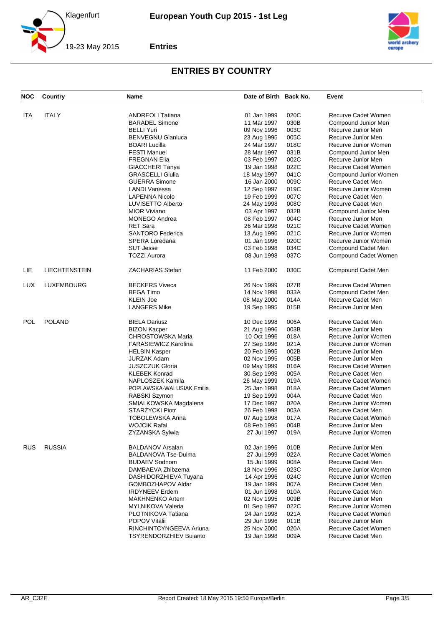



| <b>NOC</b> | Country              | Name                          | Date of Birth Back No. |      | Event                 |
|------------|----------------------|-------------------------------|------------------------|------|-----------------------|
|            |                      | <b>ANDREOLI Tatiana</b>       |                        |      |                       |
| ITA        | <b>ITALY</b>         |                               | 01 Jan 1999            | 020C | Recurve Cadet Women   |
|            |                      | <b>BARADEL Simone</b>         | 11 Mar 1997            | 030B | Compound Junior Men   |
|            |                      | <b>BELLI Yuri</b>             | 09 Nov 1996            | 003C | Recurve Junior Men    |
|            |                      | <b>BENVEGNU Gianluca</b>      | 23 Aug 1995            | 005C | Recurve Junior Men    |
|            |                      | <b>BOARI</b> Lucilla          | 24 Mar 1997            | 018C | Recurve Junior Women  |
|            |                      | <b>FESTI Manuel</b>           | 28 Mar 1997            | 031B | Compound Junior Men   |
|            |                      | <b>FREGNAN Elia</b>           | 03 Feb 1997            | 002C | Recurve Junior Men    |
|            |                      | <b>GIACCHERI Tanya</b>        | 19 Jan 1998            | 022C | Recurve Cadet Women   |
|            |                      | <b>GRASCELLI Giulia</b>       | 18 May 1997            | 041C | Compound Junior Women |
|            |                      | <b>GUERRA Simone</b>          | 16 Jan 2000            | 009C | Recurve Cadet Men     |
|            |                      | LANDI Vanessa                 | 12 Sep 1997            | 019C | Recurve Junior Women  |
|            |                      | <b>LAPENNA Nicolo</b>         | 19 Feb 1999            | 007C | Recurve Cadet Men     |
|            |                      | LUVISETTO Alberto             | 24 May 1998            | 008C | Recurve Cadet Men     |
|            |                      | <b>MIOR Viviano</b>           | 03 Apr 1997            | 032B | Compound Junior Men   |
|            |                      | <b>MONEGO Andrea</b>          | 08 Feb 1997            | 004C | Recurve Junior Men    |
|            |                      | <b>RET Sara</b>               | 26 Mar 1998            | 021C | Recurve Cadet Women   |
|            |                      | <b>SANTORO Federica</b>       | 13 Aug 1996            | 021C | Recurve Junior Women  |
|            |                      | SPERA Loredana                | 01 Jan 1996            | 020C | Recurve Junior Women  |
|            |                      | <b>SUT Jesse</b>              | 03 Feb 1998            | 034C | Compound Cadet Men    |
|            |                      | <b>TOZZI Aurora</b>           | 08 Jun 1998            | 037C | Compound Cadet Women  |
| LIE        | <b>LIECHTENSTEIN</b> | <b>ZACHARIAS Stefan</b>       | 11 Feb 2000            | 030C | Compound Cadet Men    |
| <b>LUX</b> | <b>LUXEMBOURG</b>    | <b>BECKERS Viveca</b>         | 26 Nov 1999            | 027B | Recurve Cadet Women   |
| <b>POL</b> |                      | <b>BEGA Timo</b>              | 14 Nov 1998            | 033A | Compound Cadet Men    |
|            |                      | <b>KLEIN Joe</b>              | 08 May 2000            | 014A | Recurve Cadet Men     |
|            |                      | <b>LANGERS Mike</b>           | 19 Sep 1995            | 015B | Recurve Junior Men    |
|            | <b>POLAND</b>        | <b>BIELA Dariusz</b>          | 10 Dec 1998            | 006A | Recurve Cadet Men     |
|            |                      | <b>BIZON Kacper</b>           | 21 Aug 1996            | 003B | Recurve Junior Men    |
|            |                      | <b>CHROSTOWSKA Maria</b>      | 10 Oct 1996            | 018A | Recurve Junior Women  |
|            |                      | <b>FARASIEWICZ Karolina</b>   | 27 Sep 1996            | 021A | Recurve Junior Women  |
|            |                      | <b>HELBIN Kasper</b>          | 20 Feb 1995            | 002B | Recurve Junior Men    |
|            |                      | <b>JURZAK Adam</b>            | 02 Nov 1995            | 005B | Recurve Junior Men    |
|            |                      | <b>JUSZCZUK Gloria</b>        | 09 May 1999            | 016A | Recurve Cadet Women   |
|            |                      | <b>KLEBEK Konrad</b>          | 30 Sep 1998            | 005A | Recurve Cadet Men     |
|            |                      | NAPLOSZEK Kamila              | 26 May 1999            | 019A | Recurve Cadet Women   |
|            |                      | POPLAWSKA-WALUSIAK Emilia     | 25 Jan 1998            | 018A | Recurve Cadet Women   |
|            |                      | RABSKI Szymon                 | 19 Sep 1999            | 004A | Recurve Cadet Men     |
|            |                      | SMIALKOWSKA Magdalena         | 17 Dec 1997            | 020A | Recurve Junior Women  |
|            |                      | <b>STARZYCKI Piotr</b>        | 26 Feb 1998            | 003A | Recurve Cadet Men     |
|            |                      | <b>TOBOLEWSKA Anna</b>        | 07 Aug 1998            | 017A | Recurve Cadet Women   |
|            |                      | <b>WOJCIK Rafal</b>           | 08 Feb 1995            | 004B | Recurve Junior Men    |
|            |                      | ZYZANSKA Sylwia               | 27 Jul 1997            | 019A | Recurve Junior Women  |
| <b>RUS</b> | <b>RUSSIA</b>        | <b>BALDANOV Arsalan</b>       | 02 Jan 1996            | 010B | Recurve Junior Men    |
|            |                      | <b>BALDANOVA Tse-Dulma</b>    | 27 Jul 1999            | 022A | Recurve Cadet Women   |
|            |                      | <b>BUDAEV Sodnom</b>          |                        | 008A | Recurve Cadet Men     |
|            |                      | DAMBAEVA Zhibzema             | 15 Jul 1999            |      | Recurve Junior Women  |
|            |                      |                               | 18 Nov 1996            | 023C |                       |
|            |                      | DASHIDORZHIEVA Tuyana         | 14 Apr 1996            | 024C | Recurve Junior Women  |
|            |                      | GOMBOZHAPOV Aldar             | 19 Jan 1999            | 007A | Recurve Cadet Men     |
|            |                      | <b>IRDYNEEV Erdem</b>         | 01 Jun 1998            | 010A | Recurve Cadet Men     |
|            |                      | <b>MAKHNENKO Artem</b>        | 02 Nov 1995            | 009B | Recurve Junior Men    |
|            |                      | MYLNIKOVA Valeria             | 01 Sep 1997            | 022C | Recurve Junior Women  |
|            |                      | PLOTNIKOVA Tatiana            | 24 Jan 1998            | 021A | Recurve Cadet Women   |
|            |                      | POPOV Vitalii                 | 29 Jun 1996            | 011B | Recurve Junior Men    |
|            |                      | RINCHINTCYNGEEVA Ariuna       | 25 Nov 2000            | 020A | Recurve Cadet Women   |
|            |                      | <b>TSYRENDORZHIEV Buianto</b> | 19 Jan 1998            | 009A | Recurve Cadet Men     |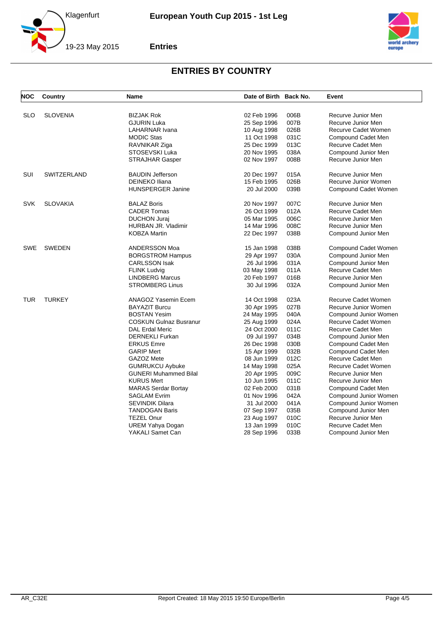



| NOC        | Country            | <b>Name</b>                     | Date of Birth Back No.     |      | Event                 |
|------------|--------------------|---------------------------------|----------------------------|------|-----------------------|
| <b>SLO</b> | <b>SLOVENIA</b>    | <b>BIZJAK Rok</b>               | 02 Feb 1996                | 006B | Recurve Junior Men    |
|            |                    | <b>GJURIN Luka</b>              | 25 Sep 1996                | 007B | Recurve Junior Men    |
|            |                    | LAHARNAR Ivana                  | 10 Aug 1998                | 026B | Recurve Cadet Women   |
|            |                    | <b>MODIC Stas</b>               | 11 Oct 1998                | 031C | Compound Cadet Men    |
|            |                    |                                 | 25 Dec 1999                | 013C | Recurve Cadet Men     |
|            |                    | RAVNIKAR Ziga<br>STOSEVSKI Luka | 20 Nov 1995                | 038A | Compound Junior Men   |
|            |                    |                                 | 02 Nov 1997                | 008B | Recurve Junior Men    |
|            |                    | <b>STRAJHAR Gasper</b>          |                            |      |                       |
| <b>SUI</b> | <b>SWITZERLAND</b> | <b>BAUDIN Jefferson</b>         | 20 Dec 1997                | 015A | Recurve Junior Men    |
|            |                    | <b>DEINEKO Iliana</b>           | 15 Feb 1995                | 026B | Recurve Junior Women  |
|            |                    | <b>HUNSPERGER Janine</b>        | 20 Jul 2000                | 039B | Compound Cadet Women  |
| <b>SVK</b> | <b>SLOVAKIA</b>    | <b>BALAZ Boris</b>              | 20 Nov 1997                | 007C | Recurve Junior Men    |
|            |                    | <b>CADER Tomas</b>              | 26 Oct 1999                | 012A | Recurve Cadet Men     |
|            |                    | <b>DUCHON Juraj</b>             | 05 Mar 1995                | 006C | Recurve Junior Men    |
|            |                    | HURBAN JR. Vladimir             | 14 Mar 1996                | 008C | Recurve Junior Men    |
|            |                    | KOBZA Martin                    | 22 Dec 1997                | 038B | Compound Junior Men   |
| <b>SWE</b> | <b>SWEDEN</b>      | ANDERSSON Moa                   | 15 Jan 1998                | 038B | Compound Cadet Women  |
|            |                    | <b>BORGSTROM Hampus</b>         | 29 Apr 1997                | 030A | Compound Junior Men   |
|            |                    | <b>CARLSSON Isak</b>            | 26 Jul 1996                | 031A | Compound Junior Men   |
|            |                    | <b>FLINK Ludvig</b>             | 03 May 1998                | 011A | Recurve Cadet Men     |
|            |                    | <b>LINDBERG Marcus</b>          | 20 Feb 1997                | 016B | Recurve Junior Men    |
|            |                    | <b>STROMBERG Linus</b>          | 30 Jul 1996                | 032A | Compound Junior Men   |
| <b>TUR</b> | <b>TURKEY</b>      | ANAGOZ Yasemin Ecem             | 14 Oct 1998                | 023A | Recurve Cadet Women   |
|            |                    | <b>BAYAZIT Burcu</b>            | 30 Apr 1995                | 027B | Recurve Junior Women  |
|            |                    | <b>BOSTAN Yesim</b>             | 24 May 1995                | 040A | Compound Junior Women |
|            |                    | <b>COSKUN Gulnaz Busranur</b>   | 25 Aug 1999                | 024A | Recurve Cadet Women   |
|            |                    | <b>DAL Erdal Meric</b>          | 24 Oct 2000                | 011C | Recurve Cadet Men     |
|            |                    | <b>DERNEKLI Furkan</b>          | 09 Jul 1997                | 034B | Compound Junior Men   |
|            |                    | <b>ERKUS Emre</b>               | 26 Dec 1998                | 030B | Compound Cadet Men    |
|            |                    | <b>GARIP Mert</b>               | 15 Apr 1999                | 032B | Compound Cadet Men    |
|            |                    | GAZOZ Mete                      | 08 Jun 1999                | 012C | Recurve Cadet Men     |
|            |                    | <b>GUMRUKCU Aybuke</b>          | 14 May 1998                | 025A | Recurve Cadet Women   |
|            |                    | <b>GUNERI Muhammed Bilal</b>    |                            | 009C | Recurve Junior Men    |
|            |                    | <b>KURUS Mert</b>               | 20 Apr 1995<br>10 Jun 1995 | 011C | Recurve Junior Men    |
|            |                    |                                 | 02 Feb 2000                | 031B |                       |
|            |                    | <b>MARAS Serdar Bortay</b>      |                            | 042A | Compound Cadet Men    |
|            |                    | <b>SAGLAM Evrim</b>             | 01 Nov 1996                |      | Compound Junior Women |
|            |                    | <b>SEVINDIK Dilara</b>          | 31 Jul 2000                | 041A | Compound Junior Women |
|            |                    | <b>TANDOGAN Baris</b>           | 07 Sep 1997                | 035B | Compound Junior Men   |
|            |                    | <b>TEZEL Onur</b>               | 23 Aug 1997                | 010C | Recurve Junior Men    |
|            |                    | <b>UREM Yahya Dogan</b>         | 13 Jan 1999                | 010C | Recurve Cadet Men     |
|            |                    | YAKALI Samet Can                | 28 Sep 1996                | 033B | Compound Junior Men   |